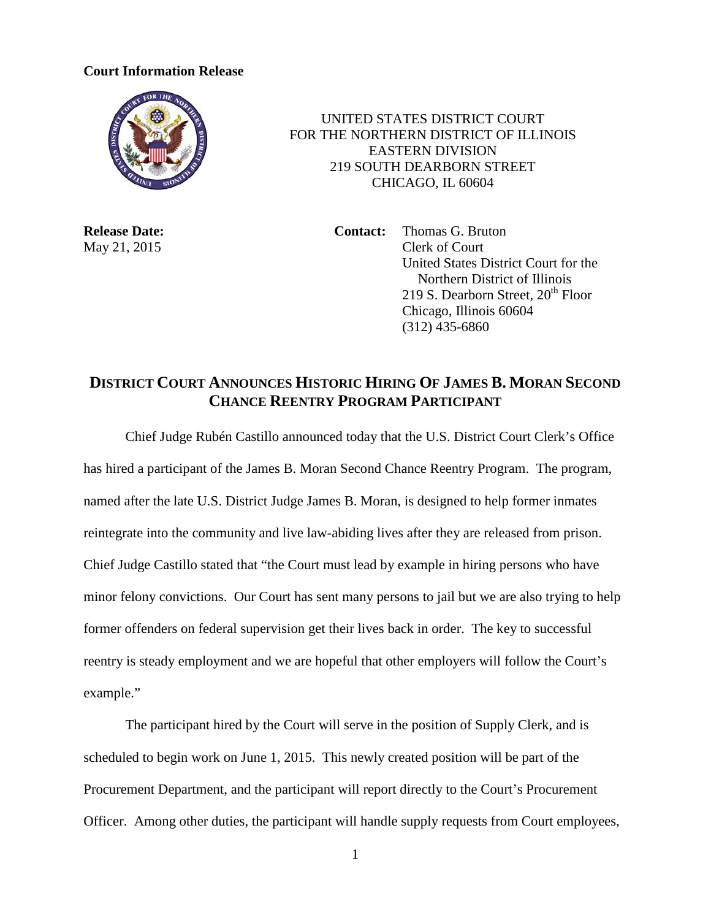## **Court Information Release**



 UNITED STATES DISTRICT COURT FOR THE NORTHERN DISTRICT OF ILLINOIS EASTERN DIVISION 219 SOUTH DEARBORN STREET CHICAGO, IL 60604

**Release Date: Contact:** Thomas G. Bruton May 21, 2015 Clerk of Court United States District Court for the Northern District of Illinois 219 S. Dearborn Street,  $20<sup>th</sup>$  Floor Chicago, Illinois 60604 (312) 435-6860

## **DISTRICT COURT ANNOUNCES HISTORIC HIRING OF JAMES B. MORAN SECOND CHANCE REENTRY PROGRAM PARTICIPANT**

Chief Judge Rubén Castillo announced today that the U.S. District Court Clerk's Office has hired a participant of the James B. Moran Second Chance Reentry Program. The program, named after the late U.S. District Judge James B. Moran, is designed to help former inmates reintegrate into the community and live law-abiding lives after they are released from prison. Chief Judge Castillo stated that "the Court must lead by example in hiring persons who have minor felony convictions. Our Court has sent many persons to jail but we are also trying to help former offenders on federal supervision get their lives back in order. The key to successful reentry is steady employment and we are hopeful that other employers will follow the Court's example."

The participant hired by the Court will serve in the position of Supply Clerk, and is scheduled to begin work on June 1, 2015. This newly created position will be part of the Procurement Department, and the participant will report directly to the Court's Procurement Officer. Among other duties, the participant will handle supply requests from Court employees,